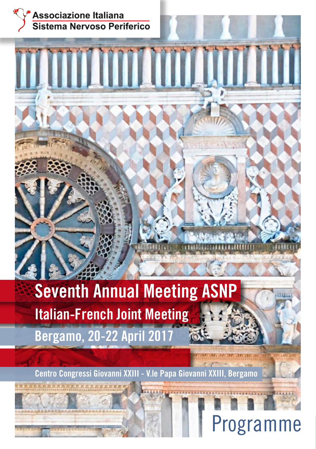

# **Seventh Annual Meeting ASNP Italian-French Joint Meeting Bergamo, 20-22 April 2017**

**TANAN ANALIS AND THE TELEVILLE SERVICE** 

**Centro Congressi Giovanni XXIII - V.le Papa Giovanni XXIII, Bergamo**

# **rogramme**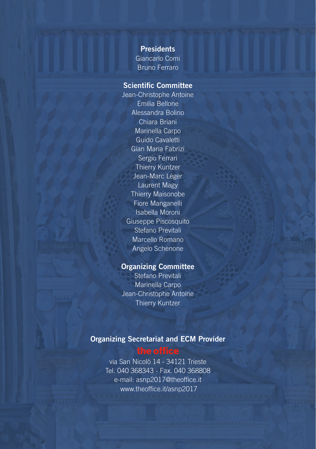**Presidents** Giancarlo Comi Bruno Ferraro

#### Scientific Committee

Jean-Christophe Antoine Emilia Bellone Alessandra Bolino Chiara Briani Marinella Carpo Guido Cavaletti Gian Maria Fabrizi Sergio Ferrari Thierry Kuntzer Jean-Marc Léger Laurent Magy Thierry Maisonobe Fiore Manganelli Isabella Moroni Giuseppe Piscosquito Stefano Previtali Marcello Romano Angelo Schenone

#### Organizing Committee

Stefano Previtali Marinella Carpo Jean-Christophe Antoine Thierry Kuntzer

#### Organizing Secretariat and ECM Provider

#### the office

via San Nicolò 14 - 34121 Trieste Tel. 040 368343 - Fax. 040 368808 e-mail: asnp2017@theoffice.it www.theoffice.it/asnp2017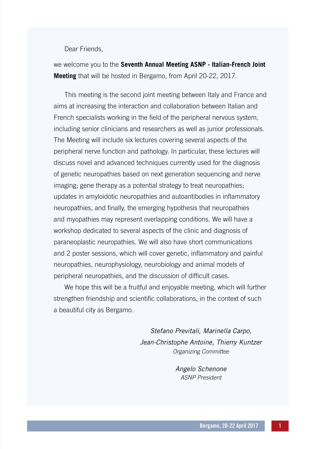Dear Friends,

we welcome you to the **Seventh Annual Meeting ASNP - Italian-French Joint Meeting** that will be hosted in Bergamo, from April 20-22, 2017.

This meeting is the second joint meeting between Italy and France and aims at increasing the interaction and collaboration between Italian and French specialists working in the field of the peripheral nervous system, including senior clinicians and researchers as well as junior professionals. The Meeting will include six lectures covering several aspects of the peripheral nerve function and pathology. In particular, these lectures will discuss novel and advanced techniques currently used for the diagnosis of genetic neuropathies based on next generation sequencing and nerve imaging; gene therapy as a potential strategy to treat neuropathies; updates in amyloidotic neuropathies and autoantibodies in inflammatory neuropathies, and finally, the emerging hypothesis that neuropathies and myopathies may represent overlapping conditions. We will have a workshop dedicated to several aspects of the clinic and diagnosis of paraneoplastic neuropathies. We will also have short communications and 2 poster sessions, which will cover genetic, inflammatory and painful neuropathies, neurophysiology, neurobiology and animal models of peripheral neuropathies, and the discussion of difficult cases.

We hope this will be a fruitful and enjoyable meeting, which will further strengthen friendship and scientific collaborations, in the context of such a beautiful city as Bergamo.

> *Stefano Previtali, Marinella Carpo, Jean-Christophe Antoine, Thierry Kuntzer Organizing Committee*

> > *Angelo Schenone ASNP President*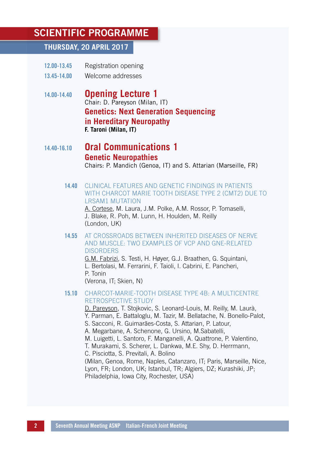### SCIENTIFIC PROGRAMME

#### **THURSDAY, 20 APRIL 2017**

- 12.00-13.45 Registration opening
- 13.45-14.00 Welcome addresses
- 14.00-14.40 **Opening Lecture 1** Chair: D. Pareyson (Milan, IT)  **Genetics: Next Generation Sequencing in Hereditary Neuropathy F. Taroni (Milan, IT)**

## 14.40-16.10 **Oral Communications 1 Genetic Neuropathies**Chairs: P. Mandich (Genoa, IT) and S. Attarian (Marseille, FR)

14.40 CLINICAL FEATURES AND GENETIC FINDINGS IN PATIENTS WITH CHARCOT MARIE TOOTH DISEASE TYPE 2 (CMT2) DUE TO LRSAM1 MUTATION

 A. Cortese, M. Laura, J.M. Polke, A.M. Rossor, P. Tomaselli, J. Blake, R. Poh, M. Lunn, H. Houlden, M. Reilly (London, UK)

14.55 AT CROSSROADS BETWEEN INHERITED DISEASES OF NERVE AND MUSCLE: TWO EXAMPLES OF VCP AND GNE-RELATED **DISORDERS** 

> G.M. Fabrizi, S. Testi, H. Høyer, G.J. Braathen, G. Squintani, L. Bertolasi, M. Ferrarini, F. Taioli, I. Cabrini, E. Pancheri, P. Tonin (Verona, IT; Skien, N)

#### 15.10 CHARCOT-MARIE-TOOTH DISEASE TYPE 4B: A MULTICENTRE RETROSPECTIVE STUDY

 D. Pareyson, T. Stojkovic, S. Leonard-Louis, M. Reilly, M. Laurà, Y. Parman, E. Battaloglu, M. Tazir, M. Bellatache, N. Bonello-Palot, S. Sacconi, R. Guimarães-Costa, S. Attarian, P. Latour, A. Megarbane, A. Schenone, G. Ursino, M.Sabatelli, M. Luigetti, L. Santoro, F. Manganelli, A. Quattrone, P. Valentino, T. Murakami, S. Scherer, L. Dankwa, M.E. Shy, D. Herrmann, C. Pisciotta, S. Previtali, A. Bolino (Milan, Genoa, Rome, Naples, Catanzaro, IT; Paris, Marseille, Nice, Lyon, FR; London, UK; Istanbul, TR; Algiers, DZ; Kurashiki, JP; Philadelphia, Iowa City, Rochester, USA)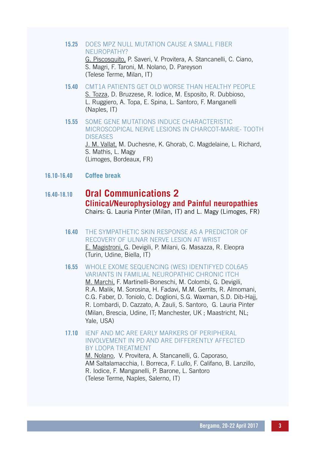- 15.25 DOES MPZ NULL MUTATION CAUSE A SMALL FIBER NEUROPATHY? G. Piscosquito, P. Saveri, V. Provitera, A. Stancanelli, C. Ciano, S. Magri, F. Taroni, M. Nolano, D. Pareyson (Telese Terme, Milan, IT)
- 15.40 CMT1A PATIENTS GET OLD WORSE THAN HEALTHY PEOPLE S. Tozza, D. Bruzzese, R. Iodice, M. Esposito, R. Dubbioso, L. Ruggiero, A. Topa, E. Spina, L. Santoro, F. Manganelli (Naples, IT)
- 15.55 SOME GENE MUTATIONS INDUCE CHARACTERISTIC MICROSCOPICAL NERVE LESIONS IN CHARCOT-MARIE- TOOTH **DISEASES** J. M. Vallat, M. Duchesne, K. Ghorab, C. Magdelaine, L. Richard, S. Mathis, L. Magy (Limoges, Bordeaux, FR)
- 16.10-16.40 **Coffee break**

## 16.40-18.10 **Oral Communications 2 Clinical/Neurophysiology and Painful neuropathies**Chairs: G. Lauria Pinter (Milan, IT) and L. Magy (Limoges, FR)

16.40 THE SYMPATHETIC SKIN RESPONSE AS A PREDICTOR OF RECOVERY OF ULNAR NERVE LESION AT WRIST E. Magistroni, G. Devigili, P. Milani, G. Masazza, R. Eleopra (Turin, Udine, Biella, IT)

#### 16.55 WHOLE EXOME SEQUENCING (WES) IDENTIFYED COL6A5 VARIANTS IN FAMILIAL NEUROPATHIC CHRONIC ITCH

M. Marchi, F. Martinelli-Boneschi, M. Colombi, G. Devigili, R.A. Malik, M. Sorosina, H. Fadavi, M.M. Gerrits, R. Almomani, C.G. Faber, D. Toniolo, C. Doglioni, S.G. Waxman, S.D. Dib-Hajj, R. Lombardi, D. Cazzato, A. Zauli, S. Santoro, G. Lauria Pinter (Milan, Brescia, Udine, IT; Manchester, UK ; Maastricht, NL; Yale, USA)

#### 17.10 IENF AND MC ARE EARLY MARKERS OF PERIPHERAL INVOLVEMENT IN PD AND ARE DIFFERENTLY AFFECTED BY LDOPA TREATMENT

M. Nolano, V. Provitera, A. Stancanelli, G. Caporaso, AM Saltalamacchia, I. Borreca, F. Lullo, F. Califano, B. Lanzillo, R. Iodice, F. Manganelli, P. Barone, L. Santoro (Telese Terme, Naples, Salerno, IT)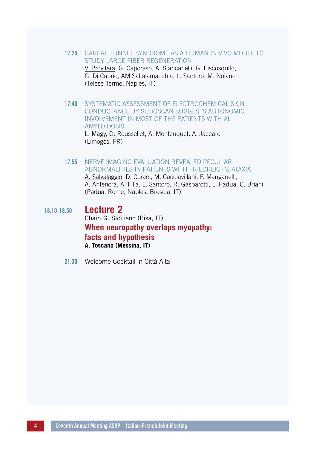17.25 CARPAL TUNNEL SYNDROME AS A HUMAN IN VIVO MODEL TO STUDY LARGE FIBER REGENERATION V. Provitera, G. Caporaso, A. Stancanelli, G. Piscosquito, G. Di Caprio, AM Saltalamacchia, L. Santoro, M. Nolano

(Telese Terme, Naples, IT)

- 17.40 SYSTEMATIC ASSESSMENT OF ELECTROCHEMICAL SKIN CONDUCTANCE BY SUDOSCAN SUGGESTS AUTONOMIC INVOLVEMENT IN MOST OF THE PATIENTS WITH AL AMYLOIDOSIS L. Magy, O. Roussellet, A. Montcuquet, A. Jaccard (Limoges, FR)
- 17.55 NERVE IMAGING EVALUATION REVEALED PECULIAR ABNORMALITIES IN PATIENTS WITH FRIEDREICH'S ATAXIA A. Salvalaggio, D. Coraci, M. Cacciavillani, F. Manganelli,

A. Antenora, A. Filla, L. Santoro, R. Gasparotti, L. Padua, C. Briani (Padua, Rome, Naples, Brescia, IT)

- 18.10-18.50 **Lecture 2** Chair: G. Siciliano (Pisa, IT)  **When neuropathy overlaps myopathy: facts and hypothesis A. Toscano (Messina, IT)**
	- 21.30 Welcome Cocktail in Città Alta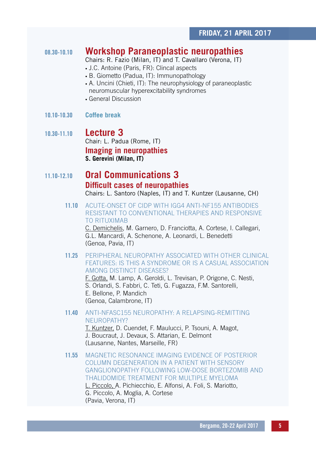### 08.30-10.10 **Workshop Paraneoplastic neuropathies**

Chairs: R. Fazio (Milan, IT) and T. Cavallaro (Verona, IT)

- J.C. Antoine (Paris, FR): Clincal aspects
- B. Giometto (Padua, IT): Immunopathology
- A. Uncini (Chieti, IT): The neurophysiology of paraneoplastic neuromuscular hyperexcitability syndromes
- General Discussion
- 10.10-10.30 **Coffee break**

## 10.30-11.10 **Lecture 3** Chair: L. Padua (Rome, IT)  **Imaging in neuropathies S. Gerevini (Milan, IT)**

## 11.10-12.10 **Oral Communications 3 Difficult cases of neuropathies**Chairs: L. Santoro (Naples, IT) and T. Kuntzer (Lausanne, CH)

11.10 ACUTE-ONSET OF CIDP WITH IGG4 ANTI-NF155 ANTIBODIES RESISTANT TO CONVENTIONAL THERAPIES AND RESPONSIVE TO RITUXIMAB

> C. Demichelis, M. Garnero, D. Franciotta, A. Cortese, I. Callegari, G.L. Mancardi, A. Schenone, A. Leonardi, L. Benedetti (Genoa, Pavia, IT)

11.25 PERIPHERAL NEUROPATHY ASSOCIATED WITH OTHER CLINICAL FEATURES: IS THIS A SYNDROME OR IS A CASUAL ASSOCIATION AMONG DISTINCT DISEASES?

F. Gotta, M. Lamp, A. Geroldi, L. Trevisan, P. Origone, C. Nesti, S. Orlandi, S. Fabbri, C. Teti, G. Fugazza, F.M. Santorelli, E. Bellone, P. Mandich (Genoa, Calambrone, IT)

11.40 ANTI-NFASC155 NEUROPATHY: A RELAPSING-REMITTING NEUROPATHY?

T. Kuntzer, D. Cuendet, F. Maulucci, P. Tsouni, A. Magot, J. Boucraut, J. Devaux, S. Attarian, E. Delmont (Lausanne, Nantes, Marseille, FR)

11.55 MAGNETIC RESONANCE IMAGING EVIDENCE OF POSTERIOR COLUMN DEGENERATION IN A PATIENT WITH SENSORY GANGLIONOPATHY FOLLOWING LOW-DOSE BORTEZOMIB AND THALIDOMIDE TREATMENT FOR MULTIPLE MYELOMA

L. Piccolo, A. Pichiecchio, E. Alfonsi, A. Foli, S. Mariotto, G. Piccolo, A. Moglia, A. Cortese (Pavia, Verona, IT)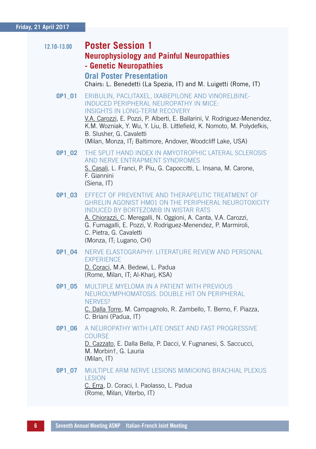#### **Friday, 21 April 2017**

| 12.10-13.00 | <b>Poster Session 1</b><br><b>Neurophysiology and Painful Neuropathies</b><br>- Genetic Neuropathies                                                                                                                                                                                                                                                                                   |
|-------------|----------------------------------------------------------------------------------------------------------------------------------------------------------------------------------------------------------------------------------------------------------------------------------------------------------------------------------------------------------------------------------------|
|             | <b>Oral Poster Presentation</b><br>Chairs: L. Benedetti (La Spezia, IT) and M. Luigetti (Rome, IT)                                                                                                                                                                                                                                                                                     |
| 0P1_01      | ERIBULIN, PACLITAXEL, IXABEPILONE AND VINORELBINE-<br>INDUCED PERIPHERAL NEUROPATHY IN MICE:<br><b>INSIGHTS IN LONG-TERM RECOVERY</b><br>V.A. Carozzi, E. Pozzi, P. Alberti, E. Ballarini, V. Rodriguez-Menendez,<br>K.M. Wozniak, Y. Wu, Y. Liu, B. Littlefield, K. Nomoto, M. Polydefkis,<br>B. Slusher, G. Cavaletti<br>(Milan, Monza, IT; Baltimore, Andover, Woodcliff Lake, USA) |
| OP1_02      | THE SPLIT HAND INDEX IN AMYOTROPHIC LATERAL SCLEROSIS<br>AND NERVE ENTRAPMENT SYNDROMES<br>S. Casali, L. Franci, P. Piu, G. Capoccitti, L. Insana, M. Carone,<br>F. Giannini<br>(Siena, IT)                                                                                                                                                                                            |
| OP1 03      | EFFECT OF PREVENTIVE AND THERAPEUTIC TREATMENT OF<br>GHRELIN AGONIST HM01 ON THE PERIPHERAL NEUROTOXICITY<br><b>INDUCED BY BORTEZOMIB IN WISTAR RATS</b><br>A. Chiorazzi, C. Meregalli, N. Oggioni, A. Canta, V.A. Carozzi,<br>G. Fumagalli, E. Pozzi, V. Rodriguez-Menendez, P. Marmiroli,<br>C. Pietra, G. Cavaletti<br>(Monza, IT; Lugano, CH)                                      |
| OP1 04      | NERVE ELASTOGRAPHY: LITERATURE REVIEW AND PERSONAL<br><b>EXPERIENCE</b><br>D. Coraci, M.A. Bedewi, L. Padua<br>(Rome, Milan, IT; Al-Kharj, KSA)                                                                                                                                                                                                                                        |
| OP1 05      | MULTIPLE MYELOMA IN A PATIENT WITH PREVIOUS<br>NEUROLYMPHOMATOSIS, DOUBLE HIT ON PERIPHERAL<br><b>NERVES?</b><br>C. Dalla Torre, M. Campagnolo, R. Zambello, T. Berno, F. Piazza,<br>C. Briani (Padua, IT)                                                                                                                                                                             |
| 0P1 06      | A NEUROPATHY WITH LATE ONSET AND FAST PROGRESSIVE<br><b>COURSE</b><br>D. Cazzato, E. Dalla Bella, P. Dacci, V. Fugnanesi, S. Saccucci,<br>M. Morbint, G. Lauria<br>(Milan, IT)                                                                                                                                                                                                         |
| 0P1 07      | MULTIPLE ARM NERVE LESIONS MIMICKING BRACHIAL PLEXUS<br><b>LESION</b><br>C. Erra, D. Coraci, I. Paolasso, L. Padua<br>(Rome, Milan, Viterbo, IT)                                                                                                                                                                                                                                       |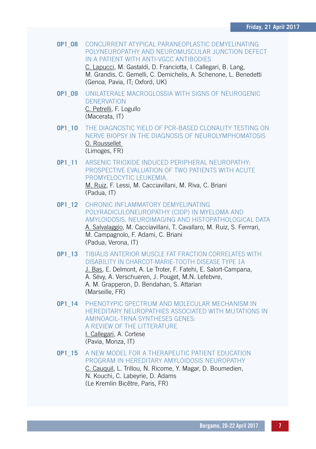**OP1\_08** CONCURRENT ATYPICAL PARANEOPLASTIC DEMYELINATING POLYNEUROPATHY AND NEUROMUSCULAR JUNCTION DEFECT IN A PATIENT WITH ANTI-VGCC ANTIBODIES

C. Lapucci, M. Gastaldi, D. Franciotta, I. Callegari, B. Lang, M. Grandis, C. Gemelli, C. Demichelis, A. Schenone, L. Benedetti (Genoa, Pavia, IT; Oxford, UK)

- **OP1\_09** UNILATERALE MACROGLOSSIA WITH SIGNS OF NEUROGENIC DENERVATION C. Petrelli, F. Logullo (Macerata, IT)
- **OP1\_10** THE DIAGNOSTIC YIELD OF PCR-BASED CLONALITY TESTING ON NERVE BIOPSY IN THE DIAGNOSIS OF NEUROLYMPHOMATOSIS O. Roussellet (Limoges, FR)
- **OP1\_11** ARSENIC TRIOXIDE INDUCED PERIPHERAL NEUROPATHY: PROSPECTIVE EVALUATION OF TWO PATIENTS WITH ACUTE PROMYELOCYTIC LEUKEMIA. M. Ruiz, F. Lessi, M. Cacciavillani, M. Riva, C. Briani (Padua, IT)
- **OP1\_12** CHRONIC INFLAMMATORY DEMYELINATING POLYRADICULONEUROPATHY (CIDP) IN MYELOMA AND AMYLOIDOSIS. NEUROIMAGING AND HISTOPATHOLOGICAL DATA A. Salvalaggio, M. Cacciavillani, T. Cavallaro, M. Ruiz, S. Ferrrari, M. Campagnolo, F. Adami, C. Briani (Padua, Verona, IT)
- **OP1\_13** TIBIALIS ANTERIOR MUSCLE FAT FRACTION CORRELATES WITH DISABILITY IN CHARCOT-MARIE-TOOTH DISEASE TYPE 1A J. Bas, E. Delmont, A. Le Troter, F. Fatehi, E. Salort-Campana, A. Sévy, A. Verschueren, J. Pouget, M.N. Lefebvre, A. M. Grapperon, D. Bendahan, S. Attarian (Marseille, FR)
- **OP1\_14** PHENOTYPIC SPECTRUM AND MOLECULAR MECHANISM IN HEREDITARY NEUROPATHIES ASSOCIATED WITH MUTATIONS IN AMINOACIL-TRNA SYNTHESES GENES: A REVIEW OF THE LITTERATURE I. Callegari, A. Cortese (Pavia, Monza, IT)
- **OP1\_15** A NEW MODEL FOR A THERAPEUTIC PATIENT EDUCATION PROGRAM IN HEREDITARY AMYLOIDOSIS NEUROPATHY C. Cauquil, L. Trillou, N. Ricome, Y. Magar, D. Boumedien, N. Kouchi, C. Labeyrie, D. Adams (Le Kremlin Bicêtre, Paris, FR)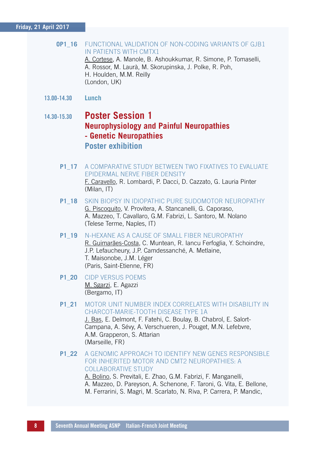#### **Friday, 21 April 2017**

#### **OP1\_16** FUNCTIONAL VALIDATION OF NON-CODING VARIANTS OF GJB1 IN PATIENTS WITH CMTX1 A. Cortese, A. Manole, B. Ashoukkumar, R. Simone, P. Tomaselli,

A. Rossor, M. Laurà, M. Skorupinska, J. Polke, R. Poh, H. Houlden, M.M. Reilly (London, UK)

13.00-14.30 **Lunch**

### 14.30-15.30 **Poster Session 1 Neurophysiology and Painful Neuropathies - Genetic Neuropathies Poster exhibition**

- **P1\_17** A COMPARATIVE STUDY BETWEEN TWO FIXATIVES TO EVALUATE EPIDERMAL NERVE FIBER DENSITY F. Caravello, R. Lombardi, P. Dacci, D. Cazzato, G. Lauria Pinter (Milan, IT)
- **P1\_18** SKIN BIOPSY IN IDIOPATHIC PURE SUDOMOTOR NEUROPATHY G. Piscoquito, V. Provitera, A. Stancanelli, G. Caporaso, A. Mazzeo, T. Cavallaro, G.M. Fabrizi, L. Santoro, M. Nolano (Telese Terme, Naples, IT)
- **P1\_19** N-HEXANE AS A CAUSE OF SMALL FIBER NEUROPATHY R. Guimarães-Costa, C. Muntean, R. Iancu Ferfoglia, Y. Schoindre, J.P. Lefaucheury, J.P. Camdessanché, A. Metlaine, T. Maisonobe, J.M. Léger (Paris, Saint-Etienne, FR)
- **P1\_20** CIDP VERSUS POEMS M. Sgarzi, E. Agazzi (Bergamo, IT)
- **P1\_21** MOTOR UNIT NUMBER INDEX CORRELATES WITH DISABILITY IN CHARCOT-MARIE-TOOTH DISEASE TYPE 1A J. Bas, E. Delmont, F. Fatehi, C. Boulay, B. Chabrol, E. Salort-Campana, A. Sévy, A. Verschueren, J. Pouget, M.N. Lefebvre, A.M. Grapperon, S. Attarian (Marseille, FR)
- **P1\_22** A GENOMIC APPROACH TO IDENTIFY NEW GENES RESPONSIBLE FOR INHERITED MOTOR AND CMT2 NEUROPATHIES: A COLLABORATIVE STUDY

A. Bolino, S. Previtali, E. Zhao, G.M. Fabrizi, F. Manganelli, A. Mazzeo, D. Pareyson, A. Schenone, F. Taroni, G. Vita, E. Bellone, M. Ferrarini, S. Magri, M. Scarlato, N. Riva, P. Carrera, P. Mandic,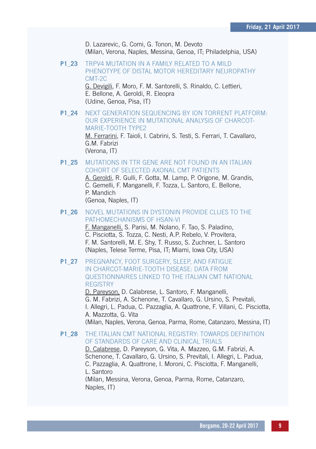D. Lazarevic, G. Comi, G. Tonon, M. Devoto (Milan, Verona, Naples, Messina, Genoa, IT; Philadelphia, USA)

**P1\_23** TRPV4 MUTATION IN A FAMILY RELATED TO A MILD PHENOTYPE OF DISTAL MOTOR HEREDITARY NEUROPATHY CMT-2C

> G. Devigili, F. Moro, F. M. Santorelli, S. Rinaldo, C. Lettieri, E. Bellone, A. Geroldi, R. Eleopra (Udine, Genoa, Pisa, IT)

- **P1\_24** NEXT GENERATION SEQUENCING BY ION TORRENT PLATFORM: OUR EXPERIENCE IN MUTATIONAL ANALYSIS OF CHARCOT-MARIE-TOOTH TYPE2 M. Ferrarini, F. Taioli, I. Cabrini, S. Testi, S. Ferrari, T. Cavallaro, G.M. Fabrizi (Verona, IT)
- **P1\_25** MUTATIONS IN TTR GENE ARE NOT FOUND IN AN ITALIAN COHORT OF SELECTED AXONAL CMT PATIENTS A. Geroldi, R. Gulli, F. Gotta, M. Lamp, P. Origone, M. Grandis, C. Gemelli, F. Manganelli, F. Tozza, L. Santoro, E. Bellone, P. Mandich (Genoa, Naples, IT)
- **P1\_26** NOVEL MUTATIONS IN DYSTONIN PROVIDE CLUES TO THE PATHOMECHANISMS OF HSAN-VI F. Manganelli, S. Parisi, M. Nolano, F. Tao, S. Paladino,

C. Pisciotta, S. Tozza, C. Nesti, A.P. Rebelo, V. Provitera, F. M. Santorelli, M. E. Shy, T. Russo, S. Zuchner, L. Santoro (Naples, Telese Terme, Pisa, IT; Miami, Iowa City, USA)

**P1\_27** PREGNANCY, FOOT SURGERY, SLEEP, AND FATIGUE IN CHARCOT-MARIE-TOOTH DISEASE: DATA FROM QUESTIONNAIRES LINKED TO THE ITALIAN CMT NATIONAL **REGISTRY** 

> D. Pareyson, D. Calabrese, L. Santoro, F. Manganelli, G. M. Fabrizi, A. Schenone, T. Cavallaro, G. Ursino, S. Previtali, I. Allegri, L. Padua, C. Pazzaglia, A. Quattrone, F. Villani, C. Pisciotta, A. Mazzotta, G. Vita (Milan, Naples, Verona, Genoa, Parma, Rome, Catanzaro, Messina, IT)

**P1\_28** THE ITALIAN CMT NATIONAL REGISTRY: TOWARDS DEFINITION OF STANDARDS OF CARE AND CLINICAL TRIALS D. Calabrese, D. Pareyson, G. Vita, A. Mazzeo, G.M. Fabrizi, A. Schenone, T. Cavallaro, G. Ursino, S. Previtali, I. Allegri, L. Padua, C. Pazzaglia, A. Quattrone, I. Moroni, C. Pisciotta, F. Manganelli, L. Santoro (Milan, Messina, Verona, Genoa, Parma, Rome, Catanzaro, Naples, IT)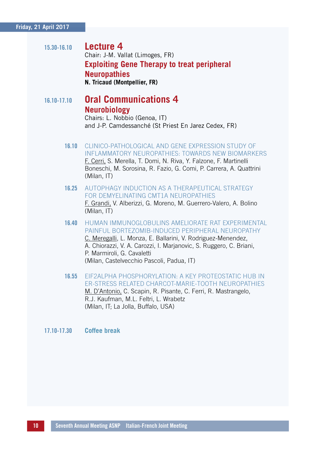#### **Friday, 21 April 2017**

15.30-16.10 **Lecture 4** Chair: J-M. Vallat (Limoges, FR)  **Exploiting Gene Therapy to treat peripheral Neuropathies<br>N. Tricaud (Montpellier, FR)** 

# 16.10-17.10 **Oral Communications 4 Neurobiology**

 Chairs: L. Nobbio (Genoa, IT) and J-P. Camdessanché (St Priest En Jarez Cedex, FR)

- 16.10 CLINICO-PATHOLOGICAL AND GENE EXPRESSION STUDY OF INFLAMMATORY NEUROPATHIES: TOWARDS NEW BIOMARKERS F. Cerri, S. Merella, T. Domi, N. Riva, Y. Falzone, F. Martinelli Boneschi, M. Sorosina, R. Fazio, G. Comi, P. Carrera, A. Quattrini (Milan, IT)
- 16.25 AUTOPHAGY INDUCTION AS A THERAPEUTICAL STRATEGY FOR DEMYELINATING CMT1A NEUROPATHIES F. Grandi, V. Alberizzi, G. Moreno, M. Guerrero-Valero, A. Bolino (Milan, IT)
- 16.40 HUMAN IMMUNOGLOBULINS AMELIORATE RAT EXPERIMENTAL PAINFUL BORTEZOMIB-INDUCED PERIPHERAL NEUROPATHY C. Meregalli, L. Monza, E. Ballarini, V. Rodriguez-Menendez, A. Chiorazzi, V. A. Carozzi, I. Marjanovic, S. Ruggero, C. Briani, P. Marmiroli, G. Cavaletti (Milan, Castelvecchio Pascoli, Padua, IT)
- 16.55 EIF2ALPHA PHOSPHORYLATION: A KEY PROTEOSTATIC HUB IN ER-STRESS RELATED CHARCOT-MARIE-TOOTH NEUROPATHIES M. D'Antonio, C. Scapin, R. Pisante, C. Ferri, R. Mastrangelo, R.J. Kaufman, M.L. Feltri, L. Wrabetz (Milan, IT; La Jolla, Buffalo, USA)

#### 17.10-17.30 **Coffee break**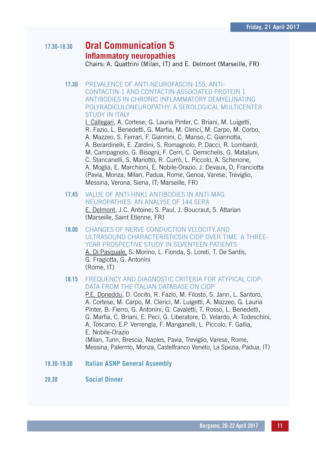# 17.30-18.30 **Oral Communication 5 Inflammatory neuropathies**

Chairs: A. Quattrini (Milan, IT) and E. Delmont (Marseille, FR)

17.30 PREVALENCE OF ANTI-NEUROFASCIN-155, ANTI-CONTACTIN-1 AND CONTACTIN-ASSOCIATED PROTEIN 1 ANTIBODIES IN CHRONIC INFLAMMATORY DEMYELINATING POLYRADICULONEUROPATHY: A SEROLOGICAL MULTICENTER STUDY IN ITALY

I. Callegari, A. Cortese, G. Lauria Pinter, C. Briani, M. Luigetti, R. Fazio, L. Benedetti, G. Marfia, M. Clerici, M. Carpo, M. Corbo, A. Mazzeo, S. Ferrari, F. Giannini, C. Manso, C. Giannotta, A. Berardinelli, E. Zardini, S. Romagnolo, P. Dacci, R. Lombardi, M. Campagnolo, G. Bisogni, F. Cerri, C. Demichelis, G. Mataluni, C. Stancanelli, S. Mariotto, R. Currò, L. Piccolo, A. Schenone, A. Moglia, E. Marchioni, E. Nobile-Orazio, J. Devaux, D. Franciotta (Pavia, Monza, Milan, Padua, Rome, Genoa, Varese, Treviglio, Messina, Verona, Siena, IT; Marseille, FR)

- 17.45 VALUE OF ANTI-HNK1 ANTIBODIES IN ANTI-MAG NEUROPATHIES: AN ANALYSE OF 144 SERA E. Delmont, J.C. Antoine, S. Paul, J. Boucraut, S. Attarian (Marseille, Saint Etienne, FR)
- 18.00 CHANGES OF NERVE CONDUCTION VELOCITY AND ULTRASOUND CHARACTERISTICSIN CIDP OVER TIME. A THREE-YEAR PROSPECTIVE STUDY IN SEVENTEEN PATIENTS A. Di Pasquale, S. Morino, L. Fionda, S. Loreti, T. De Santis,

G. Fragiotta, G. Antonini (Rome, IT)

18.15 FREQUENCY AND DIAGNOSTIC CRITERIA FOR ATYPICAL CIDP: DATA FROM THE ITALIAN DATABASE ON CIDP

P.E. Doneddu, D. Cocito, R. Fazio, M. Filosto, S. Jann, L. Santoro, A. Cortese, M. Carpo, M. Clerici, M. Luigetti, A. Mazzeo, G. Lauria Pinter, B. Fierro, G. Antonini, G. Cavaletti, T. Rosso, L. Benedetti, G. Marfia, C. Briani, E. Peci, G. Liberatore, D. Velardo, A. Todeschini, A. Toscano, E.P. Verrengia, F. Manganelli, L. Piccolo, F. Gallia, E. Nobile-Orazio (Milan, Turin, Brescia, Naples, Pavia, Treviglio, Varese, Rome, Messina, Palermo, Monza, Castelfranco Veneto, La Spezia, Padua, IT)

18.30-19.30 **Italian ASNP General Assembly**

#### 20.30 **Social Dinner**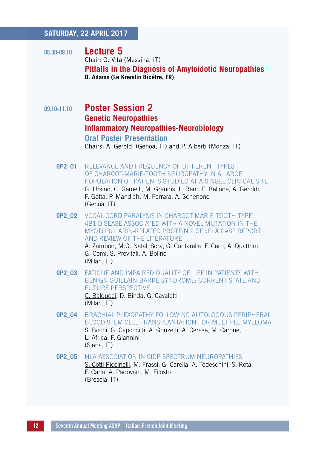#### **SATURDAY, 22 APRIL 2017**

- 08.30-09.10 **Lecture 5** Chair: G. Vita (Messina, IT)  **Pitfalls in the Diagnosis of Amyloidotic Neuropathies D. Adams (Le Kremlin Bicêtre, FR)**
- 09.10-11.10 **Poster Session 2 Genetic Neuropathies Inflammatory Neuropathies-Neurobiology Oral Poster Presentation**

Chairs: A. Geroldi (Genoa, IT) and P. Alberti (Monza, IT)

- **OP2\_01** RELEVANCE AND FREQUENCY OF DIFFERENT TYPES OF CHARCOT-MARIE-TOOTH NEUROPATHY IN A LARGE POPULATION OF PATIENTS STUDIED AT A SINGLE CLINICAL SITE G. Ursino, C. Gemelli, M. Grandis, L. Reni, E. Bellone, A. Geroldi, F. Gotta, P. Mandich, M. Ferrara, A. Schenone (Genoa, IT)
- **OP2\_02** VOCAL CORD PARALYSIS IN CHARCOT-MARIE-TOOTH TYPE 4B1 DISEASE ASSOCIATED WITH A NOVEL MUTATION IN THE MYOTUBULARIN-RELATED PROTEIN 2 GENE: A CASE REPORT AND REVIEW OF THE LITERATURE A. Zambon, M.G. Natali Sora, G. Cantarella, F. Cerri, A. Quattrini, G. Comi, S. Previtali, A. Bolino (Milan, IT)
- **OP2\_03** FATIGUE AND IMPAIRED QUALITY OF LIFE IN PATIENTS WITH BENIGN GUILLAIN-BARRÉ SYNDROME: CURRENT STATE AND FUTURE PERSPECTIVE C. Balducci, D. Binda, G. Cavaletti (Milan, IT)
- **OP2\_04** BRACHIAL PLEXOPATHY FOLLOWING AUTOLOGOUS PERIPHERAL BLOOD STEM CELL TRANSPLANTATION FOR MULTIPLE MYELOMA S. Bocci, G. Capoccitti, A. Gonzetti, A. Cerase, M. Carone, L. Africa. F. Giannini (Siena, IT)
- **OP2\_05** HLA ASSOCIATION IN CIDP SPECTRUM NEUROPATHIES S. Cotti Piccinelli, M. Frassi, G. Carella, A. Todeschini, S. Rota, F. Caria, A. Padovani, M. Filosto (Brescia, IT)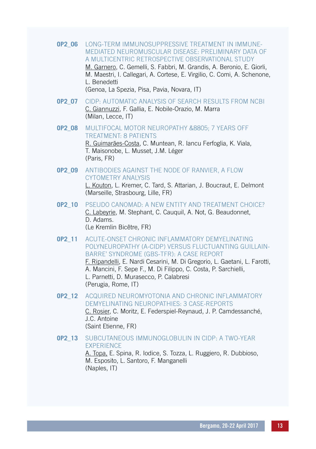- **OP2\_06** LONG-TERM IMMUNOSUPPRESSIVE TREATMENT IN IMMUNE-MEDIATED NEUROMUSCULAR DISEASE: PRELIMINARY DATA OF A MULTICENTRIC RETROSPECTIVE OBSERVATIONAL STUDY M. Garnero, C. Gemelli, S. Fabbri, M. Grandis, A. Beronio, E. Giorli, M. Maestri, I. Callegari, A. Cortese, E. Virgilio, C. Comi, A. Schenone, L. Benedetti (Genoa, La Spezia, Pisa, Pavia, Novara, IT)
- **OP2\_07** CIDP: AUTOMATIC ANALYSIS OF SEARCH RESULTS FROM NCBI C. Giannuzzi, F. Gallia, E. Nobile-Orazio, M. Marra (Milan, Lecce, IT)
- **OP2\_08** MULTIFOCAL MOTOR NEUROPATHY &8805; 7 YEARS OFF TREATMENT: 8 PATIENTS R. Guimarães-Costa, C. Muntean, R. Iancu Ferfoglia, K. Viala, T. Maisonobe, L. Musset, J.M. Léger (Paris, FR)
- **OP2\_09** ANTIBODIES AGAINST THE NODE OF RANVIER, A FLOW CYTOMETRY ANALYSIS L. Kouton, L. Kremer, C. Tard, S. Attarian, J. Boucraut, E. Delmont (Marseille, Strasbourg, Lille, FR)
- **OP2\_10** PSEUDO CANOMAD: A NEW ENTITY AND TREATMENT CHOICE? C. Labeyrie, M. Stephant, C. Cauquil, A. Not, G. Beaudonnet, D. Adams. (Le Kremlin Bicêtre, FR)
- **OP2\_11** ACUTE-ONSET CHRONIC INFLAMMATORY DEMYELINATING POLYNEUROPATHY (A-CIDP) VERSUS FLUCTUANTING GUILLAIN-BARRE' SYNDROME (GBS-TFR): A CASE REPORT

F. Ripandelli, E. Nardi Cesarini, M. Di Gregorio, L. Gaetani, L. Farotti, A. Mancini, F. Sepe F., M. Di Filippo, C. Costa, P. Sarchielli, L. Parnetti, D. Murasecco, P. Calabresi (Perugia, Rome, IT)

- **OP2\_12** ACQUIRED NEUROMYOTONIA AND CHRONIC INFLAMMATORY DEMYELINATING NEUROPATHIES: 3 CASE-REPORTS C. Rosier, C. Moritz, E. Federspiel-Reynaud, J. P. Camdessanché, J.C. Antoine (Saint Etienne, FR)
- **OP2\_13** SUBCUTANEOUS IMMUNOGLOBULIN IN CIDP: A TWO-YEAR **EXPERIENCE**

A. Topa, E. Spina, R. Iodice, S. Tozza, L. Ruggiero, R. Dubbioso, M. Esposito, L. Santoro, F. Manganelli (Naples, IT)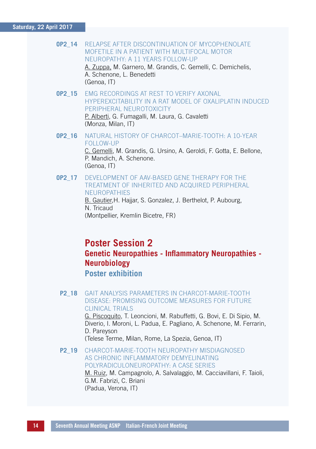#### **Saturday, 22 April 2017**

**OP2\_14** RELAPSE AFTER DISCONTINUATION OF MYCOPHENOLATE MOFETILE IN A PATIENT WITH MULTIFOCAL MOTOR NEUROPATHY: A 11 YEARS FOLLOW-UP A. Zuppa, M. Garnero, M. Grandis, C. Gemelli, C. Demichelis, A. Schenone, L. Benedetti

(Genoa, IT)

- **OP2\_15** EMG RECORDINGS AT REST TO VERIFY AXONAL HYPEREXCITABILITY IN A RAT MODEL OF OXALIPLATIN INDUCED PERIPHERAL NEUROTOXICITY P. Alberti, G. Fumagalli, M. Laura, G. Cavaletti
	- (Monza, Milan, IT)
- **OP2\_16** NATURAL HISTORY OF CHARCOT–MARIE-TOOTH: A 10-YEAR FOLLOW-UP

C. Gemelli, M. Grandis, G. Ursino, A. Geroldi, F. Gotta, E. Bellone, P. Mandich, A. Schenone. (Genoa, IT)

**OP2\_17** DEVELOPMENT OF AAV-BASED GENE THERAPY FOR THE TREATMENT OF INHERITED AND ACQUIRED PERIPHERAL **NEUROPATHIES** 

B. Gautier, H. Haijar, S. Gonzalez, J. Berthelot, P. Aubourg, N. Tricaud (Montpellier, Kremlin Bicetre, FR)

# **Poster Session 2 Genetic Neuropathies - Inflammatory Neuropathies -Neurobiology**

 **Poster exhibition**

**P2\_18** GAIT ANALYSIS PARAMETERS IN CHARCOT-MARIE-TOOTH DISEASE: PROMISING OUTCOME MEASURES FOR FUTURE CLINICAL TRIALS G. Piscoquito, T. Leoncioni, M. Rabuffetti, G. Bovi, E. Di Sipio, M. Diverio, I. Moroni, L. Padua, E. Pagliano, A. Schenone, M. Ferrarin, D. Pareyson (Telese Terme, Milan, Rome, La Spezia, Genoa, IT) **P2\_19** CHARCOT-MARIE-TOOTH NEUROPATHY MISDIAGNOSED

#### AS CHRONIC INFLAMMATORY DEMYELINATING POLYRADICULONEUROPATHY: A CASE SERIES M. Ruiz, M. Campagnolo, A. Salvalaggio, M. Cacciavillani, F. Taioli,

G.M. Fabrizi, C. Briani (Padua, Verona, IT)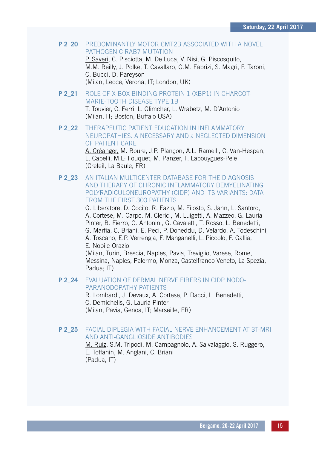**P 2\_20** PREDOMINANTLY MOTOR CMT2B ASSOCIATED WITH A NOVEL PATHOGENIC RAB7 MUTATION P. Saveri, C. Pisciotta, M. De Luca, V. Nisi, G. Piscosquito,

M.M. Reilly, J. Polke, T. Cavallaro, G.M. Fabrizi, S. Magri, F. Taroni, C. Bucci, D. Pareyson (Milan, Lecce, Verona, IT; London, UK)

- **P 2\_21** ROLE OF X-BOX BINDING PROTEIN 1 (XBP1) IN CHARCOT-MARIE-TOOTH DISEASE TYPE 1B T. Touvier, C. Ferri, L. Glimcher, L. Wrabetz, M. D'Antonio (Milan, IT; Boston, Buffalo USA)
- **P 2\_22** THERAPEUTIC PATIENT EDUCATION IN INFLAMMATORY NEUROPATHIES. A NECESSARY AND a NEGLECTED DIMENSION OF PATIENT CARE

A. Créanger, M. Roure, J.P. Plançon, A.L. Ramelli, C. Van-Hespen, L. Capelli, M.L: Fouquet, M. Panzer, F. Labouygues-Pele (Creteil, La Baule, FR)

**P 2\_23** AN ITALIAN MULTICENTER DATABASE FOR THE DIAGNOSIS AND THERAPY OF CHRONIC INFLAMMATORY DEMYELINATING POLYRADICULONEUROPATHY (CIDP) AND ITS VARIANTS: DATA FROM THE FIRST 300 PATIENTS

G. Liberatore, D. Cocito, R. Fazio, M. Filosto, S. Jann, L. Santoro, A. Cortese, M. Carpo. M. Clerici, M. Luigetti, A. Mazzeo, G. Lauria Pinter, B. Fierro, G. Antonini, G. Cavaletti, T. Rosso, L. Benedetti, G. Marfia, C. Briani, E. Peci, P. Doneddu, D. Velardo, A. Todeschini, A. Toscano, E.P. Verrengia, F. Manganelli, L. Piccolo, F. Gallia, E. Nobile-Orazio

(Milan, Turin, Brescia, Naples, Pavia, Treviglio, Varese, Rome, Messina, Naples, Palermo, Monza, Castelfranco Veneto, La Spezia, Padua; IT)

#### **P 2\_24** EVALUATION OF DERMAL NERVE FIBERS IN CIDP NODO-PARANODOPATHY PATIENTS

R. Lombardi, J. Devaux, A. Cortese, P. Dacci, L. Benedetti, C. Demichelis, G. Lauria Pinter (Milan, Pavia, Genoa, IT; Marseille, FR)

#### **P 2\_25** FACIAL DIPLEGIA WITH FACIAL NERVE ENHANCEMENT AT 3T-MRI AND ANTI-GANGLIOSIDE ANTIBODIES

M. Ruiz, S.M. Tripodi, M. Campagnolo, A. Salvalaggio, S. Ruggero, E. Toffanin, M. Anglani, C. Briani (Padua, IT)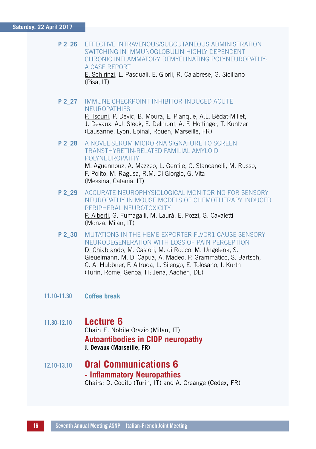#### **Saturday, 22 April 2017**

**P 2\_26** EFFECTIVE INTRAVENOUS/SUBCUTANEOUS ADMINISTRATION SWITCHING IN IMMUNOGLOBULIN HIGHLY DEPENDENT CHRONIC INFLAMMATORY DEMYELINATING POLYNEUROPATHY: A CASE REPORT

E. Schirinzi, L. Pasquali, E. Giorli, R. Calabrese, G. Siciliano (Pisa, IT)

**P 2\_27** IMMUNE CHECKPOINT INHIBITOR-INDUCED ACUTE **NEUROPATHIES** P. Tsouni, P. Devic, B. Moura, E. Planque, A.L. Bédat-Millet,

J. Devaux, A.J. Steck, E. Delmont, A. F. Hottinger, T. Kuntzer (Lausanne, Lyon, Epinal, Rouen, Marseille, FR)

**P 2\_28** A NOVEL SERUM MICRORNA SIGNATURE TO SCREEN TRANSTHYRETIN-RELATED FAMILIAL AMYLOID POLYNEUROPATHY M. Aguennouz, A. Mazzeo, L. Gentile, C. Stancanelli, M. Russo, F. Polito, M. Ragusa, R.M. Di Giorgio, G. Vita

(Messina, Catania, IT)

- **P 2\_29** ACCURATE NEUROPHYSIOLOGICAL MONITORING FOR SENSORY NEUROPATHY IN MOUSE MODELS OF CHEMOTHERAPY INDUCED PERIPHERAL NEUROTOXICITY P. Alberti, G. Fumagalli, M. Laurà, E. Pozzi, G. Cavaletti (Monza, Milan, IT)
- **P 2\_30** MUTATIONS IN THE HEME EXPORTER FLVCR1 CAUSE SENSORY NEURODEGENERATION WITH LOSS OF PAIN PERCEPTION D. Chiabrando, M. Castori, M. di Rocco, M. Ungelenk, S. Gieûelmann, M. Di Capua, A. Madeo, P. Grammatico, S. Bartsch, C. A. Hubbner, F. Altruda, L. Silengo, E. Tolosano, I. Kurth (Turin, Rome, Genoa, IT; Jena, Aachen, DE)
- 11.10-11.30 **Coffee break**

#### 11.30-12.10 **Lecture 6**

Chair: E. Nobile Orazio (Milan, IT)  **Autoantibodies in CIDP neuropathy J. Devaux (Marseille, FR)**

12.10-13.10 **Oral Communications 6 - Inflammatory Neuropathies**Chairs: D. Cocito (Turin, IT) and A. Creange (Cedex, FR)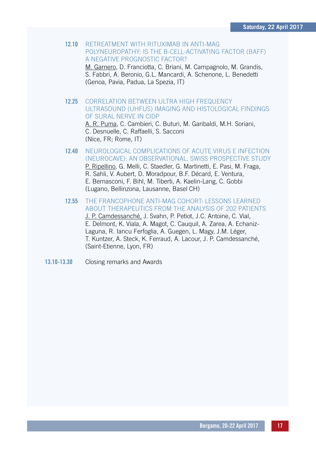#### 12.10 RETREATMENT WITH RITUXIMAB IN ANTI-MAG POLYNEUROPATHY: IS THE B-CELL-ACTIVATING FACTOR (BAFF) A NEGATIVE PROGNOSTIC FACTOR?

M. Garnero, D. Franciotta, C. Briani, M. Campagnolo, M. Grandis, S. Fabbri, A. Beronio, G.L. Mancardi, A. Schenone, L. Benedetti (Genoa, Pavia, Padua, La Spezia, IT)

#### 12.25 CORRELATION BETWEEN ULTRA HIGH FREQUENCY ULTRASOUND (UHFUS) IMAGING AND HISTOLOGICAL FINDINGS OF SURAL NERVE IN CIDP

A. R. Puma, C. Cambieri, C. Buturi, M. Garibaldi, M.H. Soriani, C. Desnuelle, C. Raffaelli, S. Sacconi (Nice, FR; Rome, IT)

- 12.40 NEUROLOGICAL COMPLICATIONS OF ACUTE VIRUS E INFECTION (NEUROCAVE): AN OBSERVATIONAL, SWISS PROSPECTIVE STUDY P. Ripellino, G. Melli, C. Staedler, G. Martinetti, E. Pasi, M. Fraga, R. Sahli, V. Aubert, D. Moradpour, B.F. Décard, E. Ventura, E. Bernasconi, F. Bihl, M. Tiberti, A. Kaelin-Lang, C. Gobbi (Lugano, Bellinzona, Lausanne, Basel CH)
- 12.55 THE FRANCOPHONE ANTI-MAG COHORT: LESSONS LEARNED ABOUT THERAPEUTICS FROM THE ANALYSIS OF 202 PATIENTS J. P. Camdessanché, J. Svahn, P. Petiot, J.C. Antoine, C. Vial, E. Delmont, K. Viala, A. Magot, C. Cauquil, A. Zarea, A. Echaniz-Laguna, R. Iancu Ferfoglia, A. Guegen, L. Magy, J.M. Léger, T. Kuntzer, A. Steck, K. Ferraud, A. Lacour, J. P. Camdessanché, (Saint-Etienne, Lyon, FR)
- 13.10-13.30 Closing remarks and Awards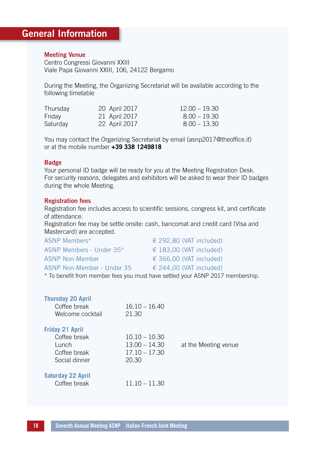### General Information

#### Meeting Venue

Centro Congressi Giovanni XXIII Viale Papa Giovanni XXIII, 106, 24122 Bergamo

During the Meeting, the Organizing Secretariat will be available according to the following timetable

| Thursday | 20 April 2017 | $12.00 - 19.30$ |
|----------|---------------|-----------------|
| Friday   | 21 April 2017 | $8.00 - 19.30$  |
| Saturday | 22 April 2017 | $8.00 - 13.30$  |

You may contact the Organizing Secretariat by email (asnp2017@theoffice.it) or at the mobile number **+39 338 1249818**

#### Badge

Your personal ID badge will be ready for you at the Meeting Registration Desk. For security reasons, delegates and exhibitors will be asked to wear their ID badges during the whole Meeting.

#### Registration fees

Registration fee includes access to scientific sessions, congress kit, and certificate of attendance.

Registration fee may be settle onsite: cash, bancomat and credit card (Visa and Mastercard) are accepted.

| $\epsilon$ 292.80 (VAT included) |
|----------------------------------|
| € 183,00 (VAT included)          |
| $\in$ 366.00 (VAT included)      |
| $\epsilon$ 244.00 (VAT included) |
|                                  |

\* To benefit from member fees you must have settled your ASNP 2017 membership.

| <b>Thursday 20 April</b><br>Coffee break<br>Welcome cocktail                     | $16.10 - 16.40$<br>21.30                                       |                      |
|----------------------------------------------------------------------------------|----------------------------------------------------------------|----------------------|
| <b>Friday 21 April</b><br>Coffee break<br>Lunch<br>Coffee break<br>Social dinner | $10.10 - 10.30$<br>$13.00 - 14.30$<br>$17.10 - 17.30$<br>20.30 | at the Meeting venue |
| <b>Saturday 22 April</b><br>Coffee break                                         | $11.10 - 11.30$                                                |                      |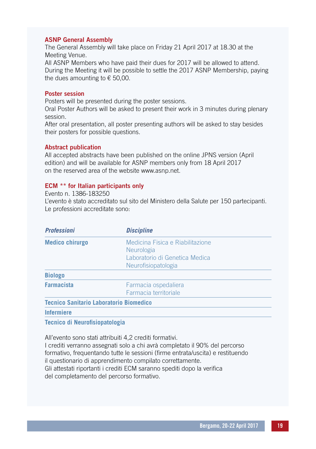#### ASNP General Assembly

The General Assembly will take place on Friday 21 April 2017 at 18.30 at the Meeting Venue.

All ASNP Members who have paid their dues for 2017 will be allowed to attend. During the Meeting it will be possible to settle the 2017 ASNP Membership, paying the dues amounting to  $\epsilon$  50,00.

#### Poster session

Posters will be presented during the poster sessions.

Oral Poster Authors will be asked to present their work in 3 minutes during plenary session.

After oral presentation, all poster presenting authors will be asked to stay besides their posters for possible questions.

#### Abstract publication

All accepted abstracts have been published on the online JPNS version (April edition) and will be available for ASNP members only from 18 April 2017 on the reserved area of the website www.asnp.net.

#### ECM \*\* for Italian participants only

Evento n. 1386-183250 L'evento è stato accreditato sul sito del Ministero della Salute per 150 partecipanti. Le professioni accreditate sono:

| <b>Professioni</b>                             | <b>Discipline</b>                                                                                              |  |
|------------------------------------------------|----------------------------------------------------------------------------------------------------------------|--|
| <b>Medico chirurgo</b>                         | Medicina Fisica e Riabilitazione<br><b>Neurologia</b><br>Laboratorio di Genetica Medica<br>Neurofisiopatologia |  |
| <b>Biologo</b>                                 |                                                                                                                |  |
| <b>Farmacista</b>                              | Farmacia ospedaliera<br>Farmacia territoriale                                                                  |  |
| <b>Tecnico Sanitario Laboratorio Biomedico</b> |                                                                                                                |  |
| <b>Infermiere</b>                              |                                                                                                                |  |

**Tecnico di Neurofisiopatologia**

All'evento sono stati attribuiti 4,2 crediti formativi.

I crediti verranno assegnati solo a chi avrà completato il 90% del percorso formativo, frequentando tutte le sessioni (firme entrata/uscita) e restituendo il questionario di apprendimento compilato correttamente. Gli attestati riportanti i crediti ECM saranno spediti dopo la verifica del completamento del percorso formativo.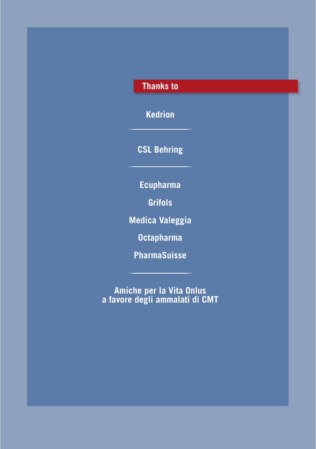## **Thanks to**

**Kedrion**

**CSL Behring**

**Ecupharma**

**Grifols**

**Medica Valeggia**

**Octapharma**

**PharmaSuisse**

**Amiche per la Vita Onlus a favore degli ammalati di CMT**